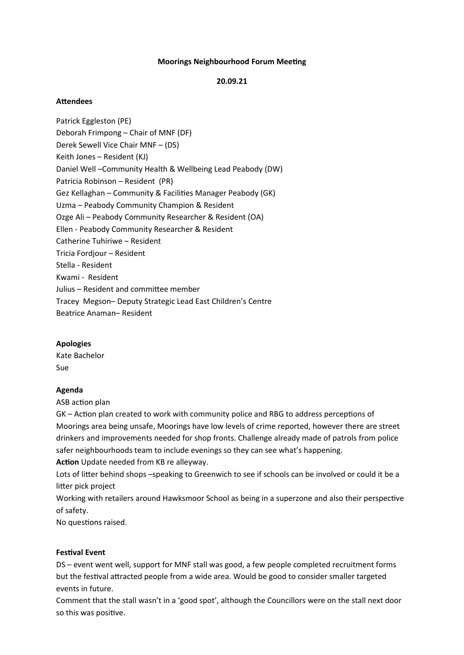## **Moorings Neighbourhood Forum Meeting**

### **20.09.21**

## **Attendees**

Patrick Eggleston (PE) Deborah Frimpong – Chair of MNF (DF) Derek Sewell Vice Chair MNF – (DS) Keith Jones – Resident (KJ) Daniel Well –Community Health & Wellbeing Lead Peabody (DW) Patricia Robinson – Resident (PR) Gez Kellaghan – Community & Facilities Manager Peabody (GK) Uzma – Peabody Community Champion & Resident Ozge Ali – Peabody Community Researcher & Resident (OA) Ellen - Peabody Community Researcher & Resident Catherine Tuhiriwe – Resident Tricia Fordjour – Resident Stella - Resident Kwami - Resident Julius – Resident and committee member Tracey Megson– Deputy Strategic Lead East Children's Centre Beatrice Anaman– Resident

#### **Apologies**

Kate Bachelor Sue

#### **Agenda**

ASB action plan

GK – Action plan created to work with community police and RBG to address perceptions of Moorings area being unsafe, Moorings have low levels of crime reported, however there are street drinkers and improvements needed for shop fronts. Challenge already made of patrols from police safer neighbourhoods team to include evenings so they can see what's happening.

# **Action** Update needed from KB re alleyway.

Lots of litter behind shops -speaking to Greenwich to see if schools can be involved or could it be a litter pick project

Working with retailers around Hawksmoor School as being in a superzone and also their perspective of safety.

No questions raised.

#### **Festival Event**

DS – event went well, support for MNF stall was good, a few people completed recruitment forms but the festival attracted people from a wide area. Would be good to consider smaller targeted events in future.

Comment that the stall wasn't in a 'good spot', although the Councillors were on the stall next door so this was positive.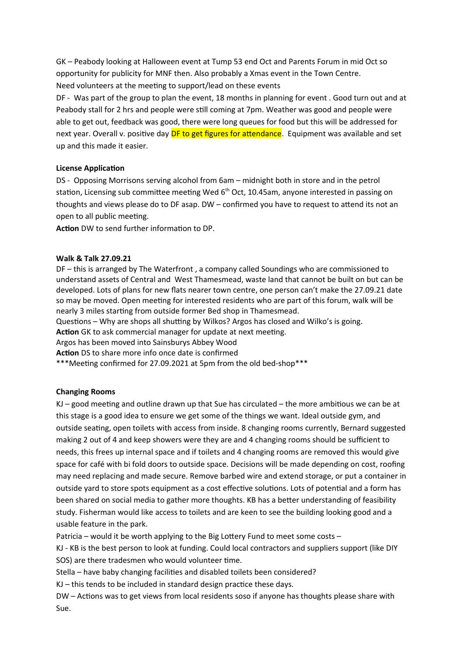GK – Peabody looking at Halloween event at Tump 53 end Oct and Parents Forum in mid Oct so opportunity for publicity for MNF then. Also probably a Xmas event in the Town Centre. Need volunteers at the meeting to support/lead on these events

DF - Was part of the group to plan the event, 18 months in planning for event . Good turn out and at Peabody stall for 2 hrs and people were still coming at 7pm. Weather was good and people were able to get out, feedback was good, there were long queues for food but this will be addressed for next year. Overall v. positive day DF to get figures for attendance. Equipment was available and set up and this made it easier.

## **License Application**

DS - Opposing Morrisons serving alcohol from 6am – midnight both in store and in the petrol station, Licensing sub committee meeting Wed 6<sup>th</sup> Oct, 10.45am, anyone interested in passing on thoughts and views please do to DF asap. DW – confirmed you have to request to attend its not an open to all public meeting.

**Action** DW to send further information to DP.

## **Walk & Talk 27.09.21**

DF – this is arranged by The Waterfront , a company called Soundings who are commissioned to understand assets of Central and West Thamesmead, waste land that cannot be built on but can be developed. Lots of plans for new flats nearer town centre, one person can't make the 27.09.21 date so may be moved. Open meeting for interested residents who are part of this forum, walk will be nearly 3 miles starting from outside former Bed shop in Thamesmead.

Questions – Why are shops all shutting by Wilkos? Argos has closed and Wilko's is going.

**Action** GK to ask commercial manager for update at next meeting.

Argos has been moved into Sainsburys Abbey Wood

**Action** DS to share more info once date is confirmed

\*\*\*Meeting confirmed for 27.09.2021 at 5pm from the old bed-shop\*\*\*

# **Changing Rooms**

 $KJ$  – good meeting and outline drawn up that Sue has circulated – the more ambitious we can be at this stage is a good idea to ensure we get some of the things we want. Ideal outside gym, and outside seating, open toilets with access from inside. 8 changing rooms currently, Bernard suggested making 2 out of 4 and keep showers were they are and 4 changing rooms should be sufficient to needs, this frees up internal space and if toilets and 4 changing rooms are removed this would give space for café with bi fold doors to outside space. Decisions will be made depending on cost, roofing may need replacing and made secure. Remove barbed wire and extend storage, or put a container in outside yard to store spots equipment as a cost effective solutions. Lots of potential and a form has been shared on social media to gather more thoughts. KB has a better understanding of feasibility study. Fisherman would like access to toilets and are keen to see the building looking good and a usable feature in the park.

Patricia – would it be worth applying to the Big Lottery Fund to meet some costs –

KJ - KB is the best person to look at funding. Could local contractors and suppliers support (like DIY SOS) are there tradesmen who would volunteer time.

Stella – have baby changing facilities and disabled toilets been considered?

KJ – this tends to be included in standard design practice these days.

DW – Actions was to get views from local residents soso if anyone has thoughts please share with Sue.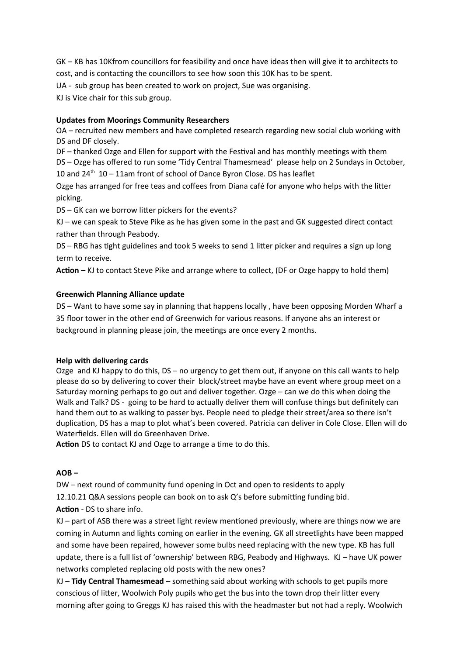GK – KB has 10Kfrom councillors for feasibility and once have ideas then will give it to architects to cost, and is contacting the councillors to see how soon this 10K has to be spent.

UA - sub group has been created to work on project, Sue was organising.

KJ is Vice chair for this sub group.

# **Updates from Moorings Community Researchers**

OA – recruited new members and have completed research regarding new social club working with DS and DF closely.

DF – thanked Ozge and Ellen for support with the Festival and has monthly meetings with them DS – Ozge has offered to run some 'Tidy Central Thamesmead' please help on 2 Sundays in October, 10 and  $24<sup>th</sup>$  10 – 11am front of school of Dance Byron Close. DS has leaflet

Ozge has arranged for free teas and coffees from Diana café for anyone who helps with the litter picking.

DS – GK can we borrow litter pickers for the events?

KJ – we can speak to Steve Pike as he has given some in the past and GK suggested direct contact rather than through Peabody.

DS – RBG has tight guidelines and took 5 weeks to send 1 litter picker and requires a sign up long term to receive.

**Action** – KJ to contact Steve Pike and arrange where to collect, (DF or Ozge happy to hold them)

## **Greenwich Planning Alliance update**

DS – Want to have some say in planning that happens locally , have been opposing Morden Wharf a 35 floor tower in the other end of Greenwich for various reasons. If anyone ahs an interest or background in planning please join, the meetings are once every 2 months.

## **Help with delivering cards**

Ozge and KJ happy to do this, DS – no urgency to get them out, if anyone on this call wants to help please do so by delivering to cover their block/street maybe have an event where group meet on a Saturday morning perhaps to go out and deliver together. Ozge – can we do this when doing the Walk and Talk? DS - going to be hard to actually deliver them will confuse things but definitely can hand them out to as walking to passer bys. People need to pledge their street/area so there isn't duplication, DS has a map to plot what's been covered. Patricia can deliver in Cole Close. Ellen will do Waterfields. Ellen will do Greenhaven Drive.

**Action** DS to contact KJ and Ozge to arrange a time to do this.

## **AOB –**

DW – next round of community fund opening in Oct and open to residents to apply 12.10.21 Q&A sessions people can book on to ask Q's before submitting funding bid. **Action** - DS to share info.

KJ – part of ASB there was a street light review mentioned previously, where are things now we are coming in Autumn and lights coming on earlier in the evening. GK all streetlights have been mapped and some have been repaired, however some bulbs need replacing with the new type. KB has full update, there is a full list of 'ownership' between RBG, Peabody and Highways. KJ – have UK power networks completed replacing old posts with the new ones?

KJ – **Tidy Central Thamesmead** – something said about working with schools to get pupils more conscious of litter, Woolwich Poly pupils who get the bus into the town drop their litter every morning after going to Greggs KJ has raised this with the headmaster but not had a reply. Woolwich